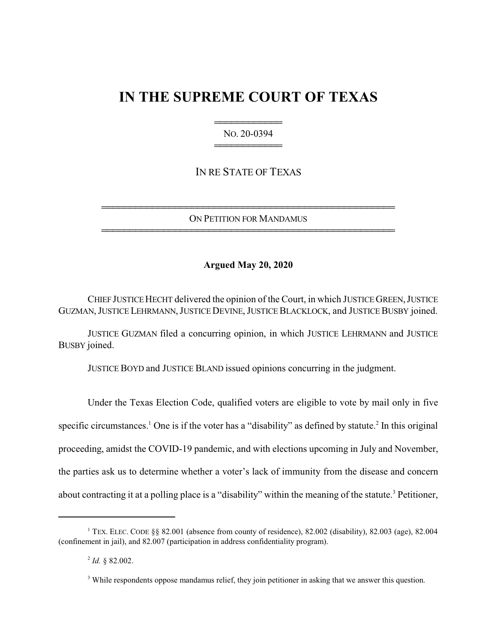# **IN THE SUPREME COURT OF TEXAS**

444444444444 NO. 20-0394 444444444444

IN RE STATE OF TEXAS

4444444444444444444444444444444444444444444444444444 ON PETITION FOR MANDAMUS 4444444444444444444444444444444444444444444444444444

# **Argued May 20, 2020**

CHIEF JUSTICE HECHT delivered the opinion of the Court, in which JUSTICE GREEN, JUSTICE GUZMAN, JUSTICE LEHRMANN, JUSTICE DEVINE, JUSTICE BLACKLOCK, and JUSTICE BUSBY joined.

JUSTICE GUZMAN filed a concurring opinion, in which JUSTICE LEHRMANN and JUSTICE BUSBY joined.

JUSTICE BOYD and JUSTICE BLAND issued opinions concurring in the judgment.

Under the Texas Election Code, qualified voters are eligible to vote by mail only in five specific circumstances.<sup>1</sup> One is if the voter has a "disability" as defined by statute.<sup>2</sup> In this original proceeding, amidst the COVID-19 pandemic, and with elections upcoming in July and November, the parties ask us to determine whether a voter's lack of immunity from the disease and concern about contracting it at a polling place is a "disability" within the meaning of the statute.<sup>3</sup> Petitioner,

<sup>&</sup>lt;sup>1</sup> TEX. ELEC. CODE §§ 82.001 (absence from county of residence), 82.002 (disability), 82.003 (age), 82.004 (confinement in jail), and 82.007 (participation in address confidentiality program).

<sup>2</sup> *Id.* § 82.002.

<sup>&</sup>lt;sup>3</sup> While respondents oppose mandamus relief, they join petitioner in asking that we answer this question.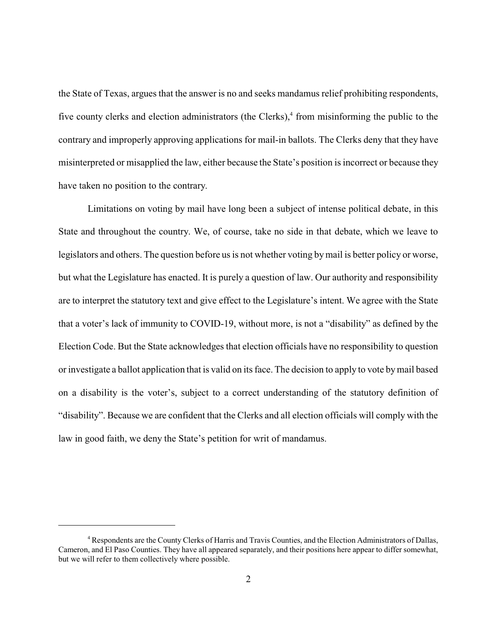the State of Texas, argues that the answer is no and seeks mandamus relief prohibiting respondents, five county clerks and election administrators (the Clerks),<sup>4</sup> from misinforming the public to the contrary and improperly approving applications for mail-in ballots. The Clerks deny that they have misinterpreted or misapplied the law, either because the State's position is incorrect or because they have taken no position to the contrary.

Limitations on voting by mail have long been a subject of intense political debate, in this State and throughout the country. We, of course, take no side in that debate, which we leave to legislators and others. The question before us is not whether voting bymail is better policy or worse, but what the Legislature has enacted. It is purely a question of law. Our authority and responsibility are to interpret the statutory text and give effect to the Legislature's intent. We agree with the State that a voter's lack of immunity to COVID-19, without more, is not a "disability" as defined by the Election Code. But the State acknowledges that election officials have no responsibility to question or investigate a ballot application that is valid on its face. The decision to apply to vote bymail based on a disability is the voter's, subject to a correct understanding of the statutory definition of "disability". Because we are confident that the Clerks and all election officials will comply with the law in good faith, we deny the State's petition for writ of mandamus.

<sup>4</sup> Respondents are the County Clerks of Harris and Travis Counties, and the Election Administrators of Dallas, Cameron, and El Paso Counties. They have all appeared separately, and their positions here appear to differ somewhat, but we will refer to them collectively where possible.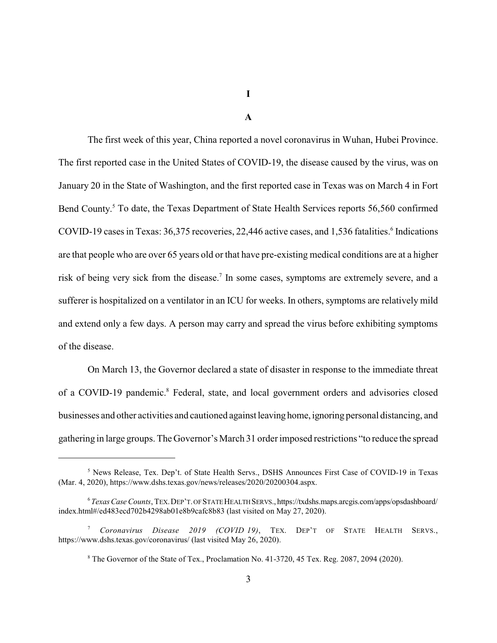**I**

**A**

The first week of this year, China reported a novel coronavirus in Wuhan, Hubei Province. The first reported case in the United States of COVID-19, the disease caused by the virus, was on January 20 in the State of Washington, and the first reported case in Texas was on March 4 in Fort Bend County.<sup>5</sup> To date, the Texas Department of State Health Services reports 56,560 confirmed COVID-19 cases in Texas: 36,375 recoveries, 22,446 active cases, and 1,536 fatalities.<sup>6</sup> Indications are that people who are over 65 years old or that have pre-existing medical conditions are at a higher risk of being very sick from the disease.<sup>7</sup> In some cases, symptoms are extremely severe, and a sufferer is hospitalized on a ventilator in an ICU for weeks. In others, symptoms are relatively mild and extend only a few days. A person may carry and spread the virus before exhibiting symptoms of the disease.

On March 13, the Governor declared a state of disaster in response to the immediate threat of a COVID-19 pandemic.<sup>8</sup> Federal, state, and local government orders and advisories closed businesses and other activities and cautioned against leaving home, ignoring personal distancing, and gathering in large groups. The Governor's March 31 order imposed restrictions "to reduce the spread

<sup>&</sup>lt;sup>5</sup> News Release, Tex. Dep't. of State Health Servs., DSHS Announces First Case of COVID-19 in Texas (Mar. 4, 2020), https://www.dshs.texas.gov/news/releases/2020/20200304.aspx.

<sup>6</sup> *Texas Case Counts*, TEX.DEP'T. OF STATE HEALTH SERVS., https://txdshs.maps.arcgis.com/apps/opsdashboard/ index.html#/ed483ecd702b4298ab01e8b9cafc8b83 (last visited on May 27, 2020).

<sup>7</sup> *Coronavirus Disease 2019 (COVID 19)*, TEX. DEP'T OF STATE HEALTH SERVS., https://www.dshs.texas.gov/coronavirus/ (last visited May 26, 2020).

<sup>&</sup>lt;sup>8</sup> The Governor of the State of Tex., Proclamation No. 41-3720, 45 Tex. Reg. 2087, 2094 (2020).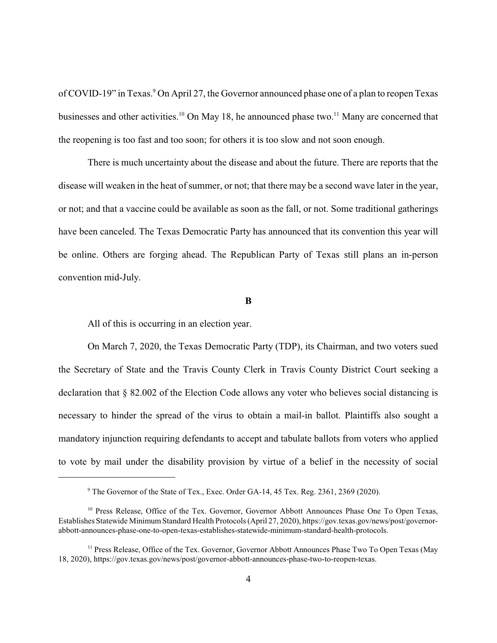of COVID-19" in Texas.<sup>9</sup> On April 27, the Governor announced phase one of a plan to reopen Texas businesses and other activities.<sup>10</sup> On May 18, he announced phase two.<sup>11</sup> Many are concerned that the reopening is too fast and too soon; for others it is too slow and not soon enough.

There is much uncertainty about the disease and about the future. There are reports that the disease will weaken in the heat of summer, or not; that there may be a second wave later in the year, or not; and that a vaccine could be available as soon as the fall, or not. Some traditional gatherings have been canceled. The Texas Democratic Party has announced that its convention this year will be online. Others are forging ahead. The Republican Party of Texas still plans an in-person convention mid-July.

#### **B**

All of this is occurring in an election year.

On March 7, 2020, the Texas Democratic Party (TDP), its Chairman, and two voters sued the Secretary of State and the Travis County Clerk in Travis County District Court seeking a declaration that § 82.002 of the Election Code allows any voter who believes social distancing is necessary to hinder the spread of the virus to obtain a mail-in ballot. Plaintiffs also sought a mandatory injunction requiring defendants to accept and tabulate ballots from voters who applied to vote by mail under the disability provision by virtue of a belief in the necessity of social

<sup>&</sup>lt;sup>9</sup> The Governor of the State of Tex., Exec. Order GA-14, 45 Tex. Reg. 2361, 2369 (2020).

<sup>&</sup>lt;sup>10</sup> Press Release, Office of the Tex. Governor, Governor Abbott Announces Phase One To Open Texas, Establishes Statewide Minimum Standard Health Protocols (April 27, 2020), https://gov.texas.gov/news/post/governorabbott-announces-phase-one-to-open-texas-establishes-statewide-minimum-standard-health-protocols.

<sup>&</sup>lt;sup>11</sup> Press Release, Office of the Tex. Governor, Governor Abbott Announces Phase Two To Open Texas (May 18, 2020), https://gov.texas.gov/news/post/governor-abbott-announces-phase-two-to-reopen-texas.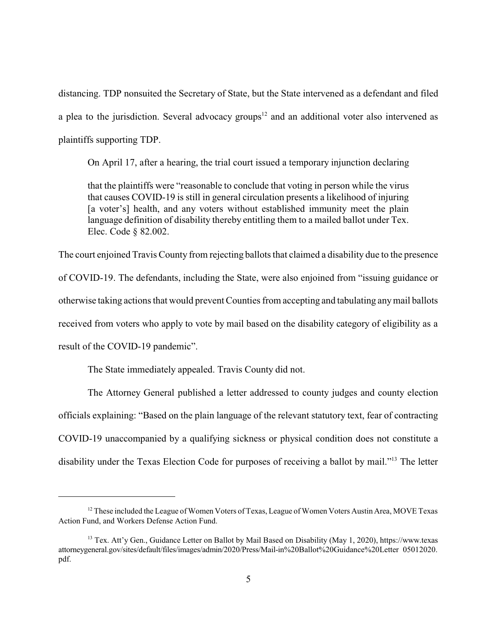distancing. TDP nonsuited the Secretary of State, but the State intervened as a defendant and filed a plea to the jurisdiction. Several advocacy groups<sup>12</sup> and an additional voter also intervened as plaintiffs supporting TDP.

On April 17, after a hearing, the trial court issued a temporary injunction declaring

that the plaintiffs were "reasonable to conclude that voting in person while the virus that causes COVID-19 is still in general circulation presents a likelihood of injuring [a voter's] health, and any voters without established immunity meet the plain language definition of disability thereby entitling them to a mailed ballot under Tex. Elec. Code § 82.002.

The court enjoined Travis County from rejecting ballots that claimed a disability due to the presence of COVID-19. The defendants, including the State, were also enjoined from "issuing guidance or otherwise taking actions that would prevent Counties from accepting and tabulating any mail ballots received from voters who apply to vote by mail based on the disability category of eligibility as a result of the COVID-19 pandemic".

The State immediately appealed. Travis County did not.

The Attorney General published a letter addressed to county judges and county election officials explaining: "Based on the plain language of the relevant statutory text, fear of contracting COVID-19 unaccompanied by a qualifying sickness or physical condition does not constitute a disability under the Texas Election Code for purposes of receiving a ballot by mail."<sup>13</sup> The letter

 $12$  These included the League of Women Voters of Texas, League of Women Voters Austin Area, MOVE Texas Action Fund, and Workers Defense Action Fund.

<sup>&</sup>lt;sup>13</sup> Tex. Att'y Gen., Guidance Letter on Ballot by Mail Based on Disability (May 1, 2020), https://www.texas attorneygeneral.gov/sites/default/files/images/admin/2020/Press/Mail-in%20Ballot%20Guidance%20Letter 05012020. pdf.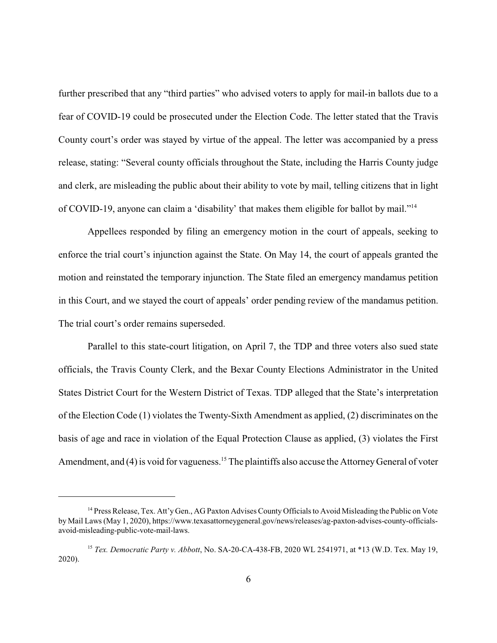further prescribed that any "third parties" who advised voters to apply for mail-in ballots due to a fear of COVID-19 could be prosecuted under the Election Code. The letter stated that the Travis County court's order was stayed by virtue of the appeal. The letter was accompanied by a press release, stating: "Several county officials throughout the State, including the Harris County judge and clerk, are misleading the public about their ability to vote by mail, telling citizens that in light of COVID-19, anyone can claim a 'disability' that makes them eligible for ballot by mail."<sup>14</sup>

Appellees responded by filing an emergency motion in the court of appeals, seeking to enforce the trial court's injunction against the State. On May 14, the court of appeals granted the motion and reinstated the temporary injunction. The State filed an emergency mandamus petition in this Court, and we stayed the court of appeals' order pending review of the mandamus petition. The trial court's order remains superseded.

Parallel to this state-court litigation, on April 7, the TDP and three voters also sued state officials, the Travis County Clerk, and the Bexar County Elections Administrator in the United States District Court for the Western District of Texas. TDP alleged that the State's interpretation of the Election Code (1) violates the Twenty-Sixth Amendment as applied, (2) discriminates on the basis of age and race in violation of the Equal Protection Clause as applied, (3) violates the First Amendment, and (4) is void for vagueness.<sup>15</sup> The plaintiffs also accuse the Attorney General of voter

<sup>&</sup>lt;sup>14</sup> Press Release, Tex. Att'y Gen., AG Paxton Advises County Officials to Avoid Misleading the Public on Vote by Mail Laws (May 1, 2020), https://www.texasattorneygeneral.gov/news/releases/ag-paxton-advises-county-officialsavoid-misleading-public-vote-mail-laws.

<sup>15</sup> *Tex. Democratic Party v. Abbott*, No. SA-20-CA-438-FB, 2020 WL 2541971, at \*13 (W.D. Tex. May 19, 2020).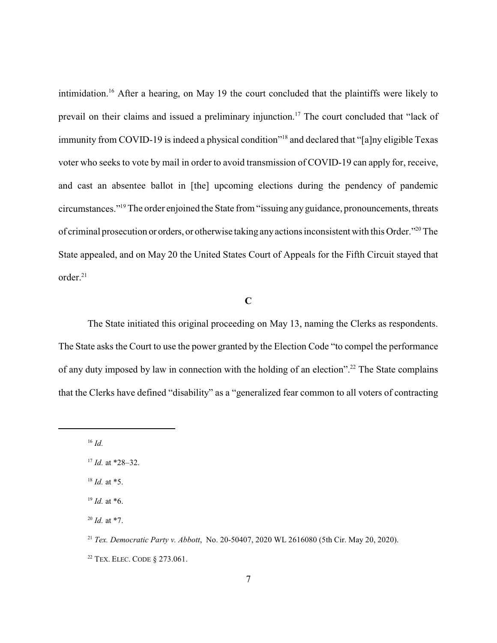intimidation.<sup>16</sup> After a hearing, on May 19 the court concluded that the plaintiffs were likely to prevail on their claims and issued a preliminary injunction.<sup>17</sup> The court concluded that "lack of immunity from COVID-19 is indeed a physical condition"<sup>18</sup> and declared that "[a]ny eligible Texas voter who seeks to vote by mail in order to avoid transmission of COVID-19 can apply for, receive, and cast an absentee ballot in [the] upcoming elections during the pendency of pandemic circumstances."<sup>19</sup> The order enjoined the State from "issuing any guidance, pronouncements, threats of criminal prosecution or orders, or otherwise taking anyactions inconsistent with this Order."<sup>20</sup> The State appealed, and on May 20 the United States Court of Appeals for the Fifth Circuit stayed that order.<sup>21</sup>

## **C**

The State initiated this original proceeding on May 13, naming the Clerks as respondents. The State asks the Court to use the power granted by the Election Code "to compel the performance of any duty imposed by law in connection with the holding of an election".<sup>22</sup> The State complains that the Clerks have defined "disability" as a "generalized fear common to all voters of contracting

<sup>16</sup> *Id.*

 $17$  *Id.* at \*28–32.

<sup>18</sup> *Id.* at \*5.

<sup>19</sup> *Id.* at \*6.

 $^{20}$  *Id.* at \*7.

<sup>21</sup> *Tex. Democratic Party v. Abbott*, No. 20-50407, 2020 WL 2616080 (5th Cir. May 20, 2020).

<sup>22</sup> TEX. ELEC. CODE § 273.061.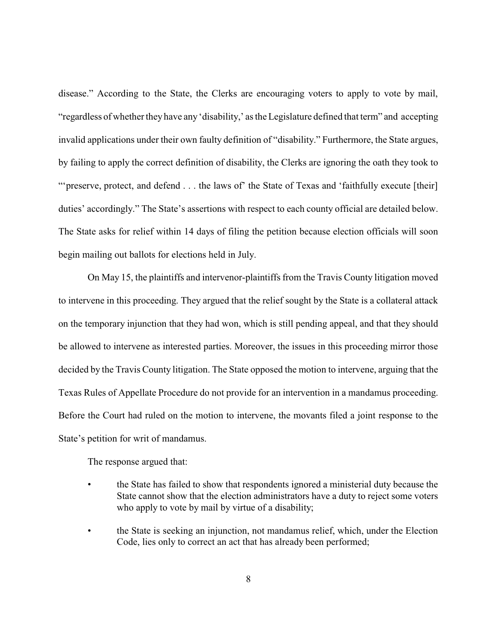disease." According to the State, the Clerks are encouraging voters to apply to vote by mail, "regardless of whether they have any 'disability,' as the Legislature defined that term" and accepting invalid applications under their own faulty definition of "disability." Furthermore, the State argues, by failing to apply the correct definition of disability, the Clerks are ignoring the oath they took to "'preserve, protect, and defend . . . the laws of' the State of Texas and 'faithfully execute [their] duties' accordingly." The State's assertions with respect to each county official are detailed below. The State asks for relief within 14 days of filing the petition because election officials will soon begin mailing out ballots for elections held in July.

On May 15, the plaintiffs and intervenor-plaintiffs from the Travis County litigation moved to intervene in this proceeding. They argued that the relief sought by the State is a collateral attack on the temporary injunction that they had won, which is still pending appeal, and that they should be allowed to intervene as interested parties. Moreover, the issues in this proceeding mirror those decided by the Travis County litigation. The State opposed the motion to intervene, arguing that the Texas Rules of Appellate Procedure do not provide for an intervention in a mandamus proceeding. Before the Court had ruled on the motion to intervene, the movants filed a joint response to the State's petition for writ of mandamus.

The response argued that:

- the State has failed to show that respondents ignored a ministerial duty because the State cannot show that the election administrators have a duty to reject some voters who apply to vote by mail by virtue of a disability;
- the State is seeking an injunction, not mandamus relief, which, under the Election Code, lies only to correct an act that has already been performed;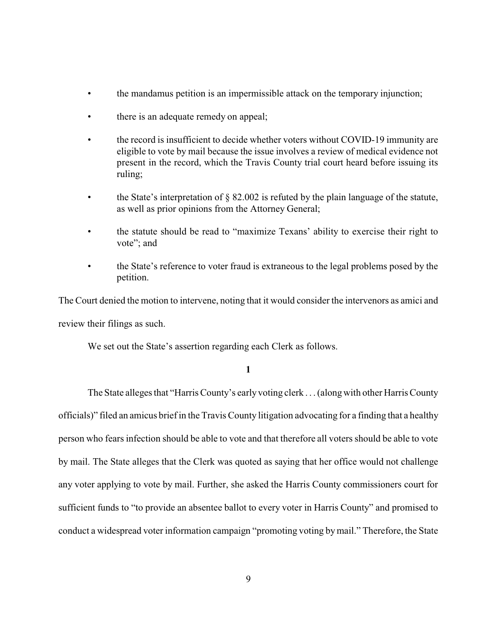- the mandamus petition is an impermissible attack on the temporary injunction;
- there is an adequate remedy on appeal;
- the record is insufficient to decide whether voters without COVID-19 immunity are eligible to vote by mail because the issue involves a review of medical evidence not present in the record, which the Travis County trial court heard before issuing its ruling;
- the State's interpretation of  $\S$  82.002 is refuted by the plain language of the statute, as well as prior opinions from the Attorney General;
- the statute should be read to "maximize Texans' ability to exercise their right to vote"; and
- the State's reference to voter fraud is extraneous to the legal problems posed by the petition.

The Court denied the motion to intervene, noting that it would consider the intervenors as amici and review their filings as such.

We set out the State's assertion regarding each Clerk as follows.

**1**

The State alleges that "Harris County's earlyvoting clerk . . .(along with other Harris County officials)" filed an amicus brief in the Travis County litigation advocating for a finding that a healthy person who fears infection should be able to vote and that therefore all voters should be able to vote by mail. The State alleges that the Clerk was quoted as saying that her office would not challenge any voter applying to vote by mail. Further, she asked the Harris County commissioners court for sufficient funds to "to provide an absentee ballot to every voter in Harris County" and promised to conduct a widespread voter information campaign "promoting voting bymail." Therefore, the State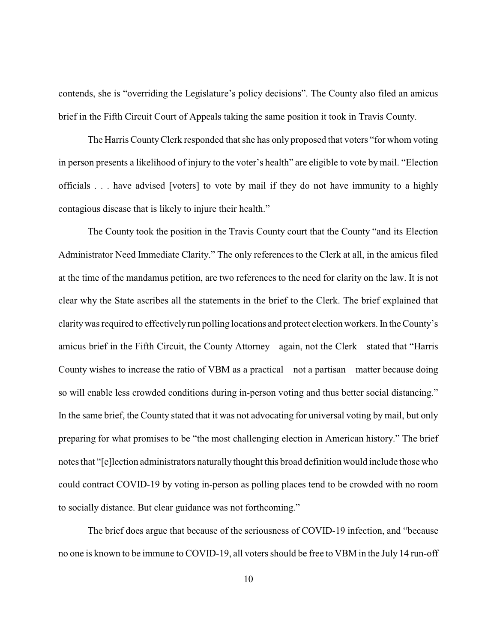contends, she is "overriding the Legislature's policy decisions". The County also filed an amicus brief in the Fifth Circuit Court of Appeals taking the same position it took in Travis County.

The Harris County Clerk responded that she has only proposed that voters "for whom voting in person presents a likelihood of injury to the voter's health" are eligible to vote by mail. "Election officials . . . have advised [voters] to vote by mail if they do not have immunity to a highly contagious disease that is likely to injure their health."

The County took the position in the Travis County court that the County "and its Election Administrator Need Immediate Clarity." The only references to the Clerk at all, in the amicus filed at the time of the mandamus petition, are two references to the need for clarity on the law. It is not clear why the State ascribes all the statements in the brief to the Clerk. The brief explained that clarity was required to effectively run polling locations and protect election workers. In the County's amicus brief in the Fifth Circuit, the County Attorney again, not the Clerk stated that "Harris County wishes to increase the ratio of VBM as a practical not a partisan matter because doing so will enable less crowded conditions during in-person voting and thus better social distancing." In the same brief, the County stated that it was not advocating for universal voting by mail, but only preparing for what promises to be "the most challenging election in American history." The brief notes that "[e]lection administrators naturally thought this broad definition would include those who could contract COVID-19 by voting in-person as polling places tend to be crowded with no room to socially distance. But clear guidance was not forthcoming."

The brief does argue that because of the seriousness of COVID-19 infection, and "because no one is known to be immune to COVID-19, all voters should be free to VBM in the July 14 run-off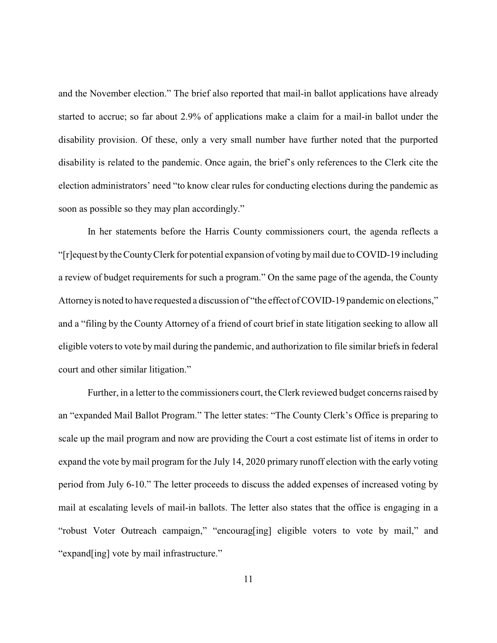and the November election." The brief also reported that mail-in ballot applications have already started to accrue; so far about 2.9% of applications make a claim for a mail-in ballot under the disability provision. Of these, only a very small number have further noted that the purported disability is related to the pandemic. Once again, the brief's only references to the Clerk cite the election administrators' need "to know clear rules for conducting elections during the pandemic as soon as possible so they may plan accordingly."

In her statements before the Harris County commissioners court, the agenda reflects a "[r]equest by the CountyClerk for potential expansion of voting bymail due to COVID-19 including a review of budget requirements for such a program." On the same page of the agenda, the County Attorney is noted to have requested a discussion of "the effect of COVID-19 pandemic on elections," and a "filing by the County Attorney of a friend of court brief in state litigation seeking to allow all eligible voters to vote bymail during the pandemic, and authorization to file similar briefs in federal court and other similar litigation."

Further, in a letter to the commissioners court, the Clerk reviewed budget concerns raised by an "expanded Mail Ballot Program." The letter states: "The County Clerk's Office is preparing to scale up the mail program and now are providing the Court a cost estimate list of items in order to expand the vote by mail program for the July 14, 2020 primary runoff election with the early voting period from July 6-10." The letter proceeds to discuss the added expenses of increased voting by mail at escalating levels of mail-in ballots. The letter also states that the office is engaging in a "robust Voter Outreach campaign," "encourag[ing] eligible voters to vote by mail," and "expand[ing] vote by mail infrastructure."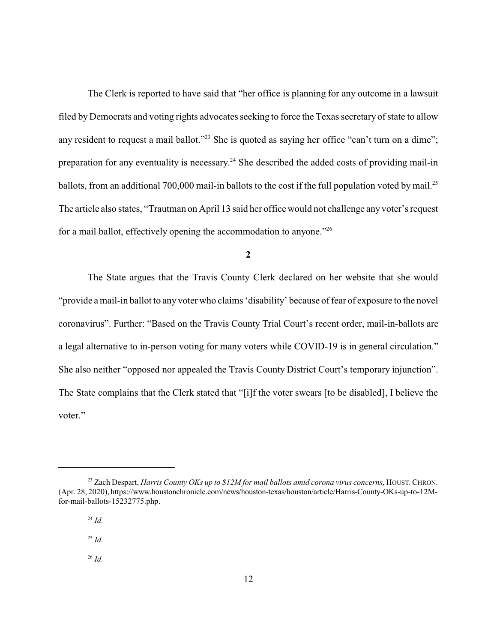The Clerk is reported to have said that "her office is planning for any outcome in a lawsuit filed by Democrats and voting rights advocates seeking to force the Texas secretary of state to allow any resident to request a mail ballot."<sup>23</sup> She is quoted as saying her office "can't turn on a dime"; preparation for any eventuality is necessary.<sup>24</sup> She described the added costs of providing mail-in ballots, from an additional 700,000 mail-in ballots to the cost if the full population voted by mail.<sup>25</sup> The article also states, "Trautman on April 13 said her office would not challenge any voter's request for a mail ballot, effectively opening the accommodation to anyone."<sup>26</sup>

**2**

The State argues that the Travis County Clerk declared on her website that she would "provide a mail-in ballot to any voter who claims 'disability' because of fear of exposure to the novel coronavirus". Further: "Based on the Travis County Trial Court's recent order, mail-in-ballots are a legal alternative to in-person voting for many voters while COVID-19 is in general circulation." She also neither "opposed nor appealed the Travis County District Court's temporary injunction". The State complains that the Clerk stated that "[i]f the voter swears [to be disabled], I believe the voter."

<sup>26</sup> *Id.*

<sup>23</sup> Zach Despart, *Harris County OKs up to \$12M for mail ballots amid corona virus concerns*, HOUST.CHRON. (Apr. 28, 2020), https://www.houstonchronicle.com/news/houston-texas/houston/article/Harris-County-OKs-up-to-12Mfor-mail-ballots-15232775.php.

<sup>24</sup> *Id.*

<sup>25</sup> *Id.*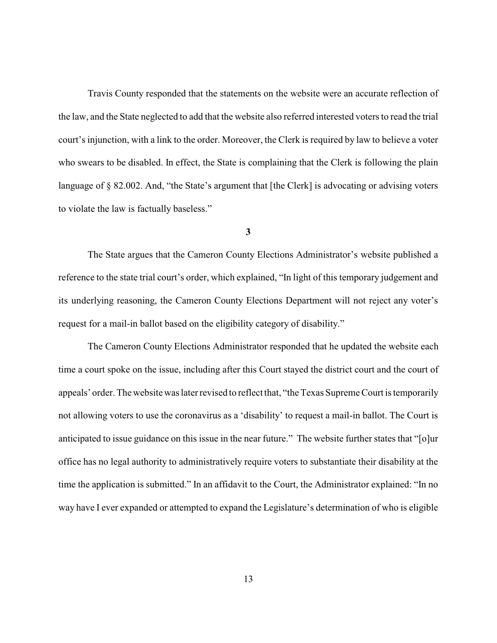Travis County responded that the statements on the website were an accurate reflection of the law, and the State neglected to add that the website also referred interested voters to read the trial court's injunction, with a link to the order. Moreover, the Clerk is required by law to believe a voter who swears to be disabled. In effect, the State is complaining that the Clerk is following the plain language of § 82.002. And, "the State's argument that [the Clerk] is advocating or advising voters to violate the law is factually baseless."

**3**

The State argues that the Cameron County Elections Administrator's website published a reference to the state trial court's order, which explained, "In light of this temporary judgement and its underlying reasoning, the Cameron County Elections Department will not reject any voter's request for a mail-in ballot based on the eligibility category of disability."

The Cameron County Elections Administrator responded that he updated the website each time a court spoke on the issue, including after this Court stayed the district court and the court of appeals' order. The website was later revised to reflect that, "the Texas Supreme Court is temporarily not allowing voters to use the coronavirus as a 'disability' to request a mail-in ballot. The Court is anticipated to issue guidance on this issue in the near future." The website further states that "[o]ur office has no legal authority to administratively require voters to substantiate their disability at the time the application is submitted." In an affidavit to the Court, the Administrator explained: "In no way have I ever expanded or attempted to expand the Legislature's determination of who is eligible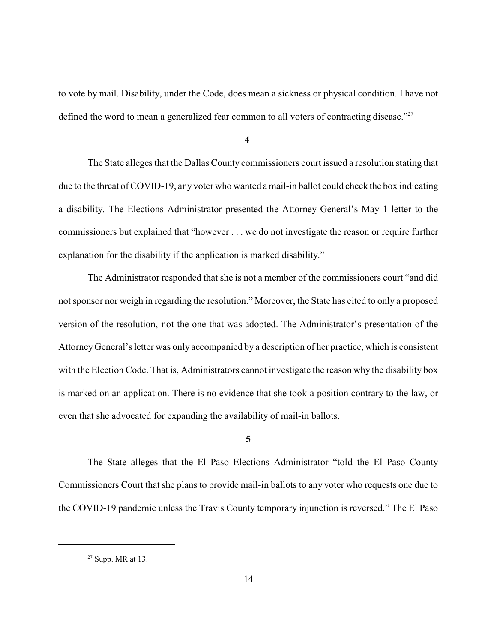to vote by mail. Disability, under the Code, does mean a sickness or physical condition. I have not defined the word to mean a generalized fear common to all voters of contracting disease."<sup>27</sup>

**4**

The State alleges that the Dallas County commissioners court issued a resolution stating that due to the threat of COVID-19, any voter who wanted a mail-in ballot could check the box indicating a disability. The Elections Administrator presented the Attorney General's May 1 letter to the commissioners but explained that "however . . . we do not investigate the reason or require further explanation for the disability if the application is marked disability."

The Administrator responded that she is not a member of the commissioners court "and did not sponsor nor weigh in regarding the resolution." Moreover, the State has cited to only a proposed version of the resolution, not the one that was adopted. The Administrator's presentation of the Attorney General's letter was only accompanied by a description of her practice, which is consistent with the Election Code. That is, Administrators cannot investigate the reason why the disability box is marked on an application. There is no evidence that she took a position contrary to the law, or even that she advocated for expanding the availability of mail-in ballots.

## **5**

The State alleges that the El Paso Elections Administrator "told the El Paso County Commissioners Court that she plans to provide mail-in ballots to any voter who requests one due to the COVID-19 pandemic unless the Travis County temporary injunction is reversed." The El Paso

 $27$  Supp. MR at 13.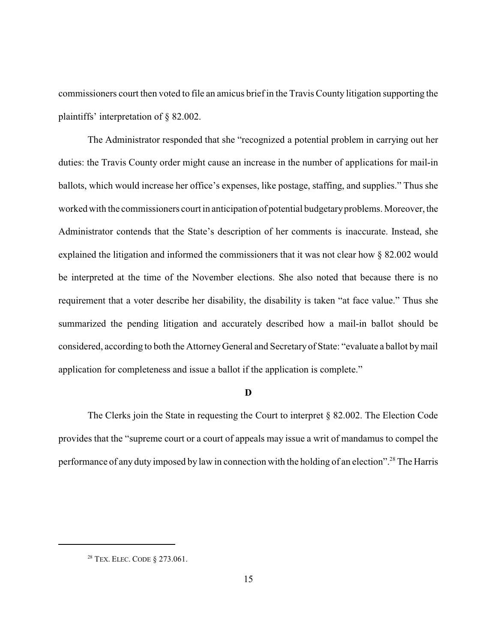commissioners court then voted to file an amicus brief in the Travis County litigation supporting the plaintiffs' interpretation of § 82.002.

The Administrator responded that she "recognized a potential problem in carrying out her duties: the Travis County order might cause an increase in the number of applications for mail-in ballots, which would increase her office's expenses, like postage, staffing, and supplies." Thus she worked with the commissioners court in anticipation of potential budgetaryproblems. Moreover, the Administrator contends that the State's description of her comments is inaccurate. Instead, she explained the litigation and informed the commissioners that it was not clear how § 82.002 would be interpreted at the time of the November elections. She also noted that because there is no requirement that a voter describe her disability, the disability is taken "at face value." Thus she summarized the pending litigation and accurately described how a mail-in ballot should be considered, according to both the AttorneyGeneral and Secretaryof State: "evaluate a ballot bymail application for completeness and issue a ballot if the application is complete."

#### **D**

The Clerks join the State in requesting the Court to interpret § 82.002. The Election Code provides that the "supreme court or a court of appeals may issue a writ of mandamus to compel the performance of any duty imposed by law in connection with the holding of an election".<sup>28</sup> The Harris

<sup>28</sup> TEX. ELEC. CODE § 273.061.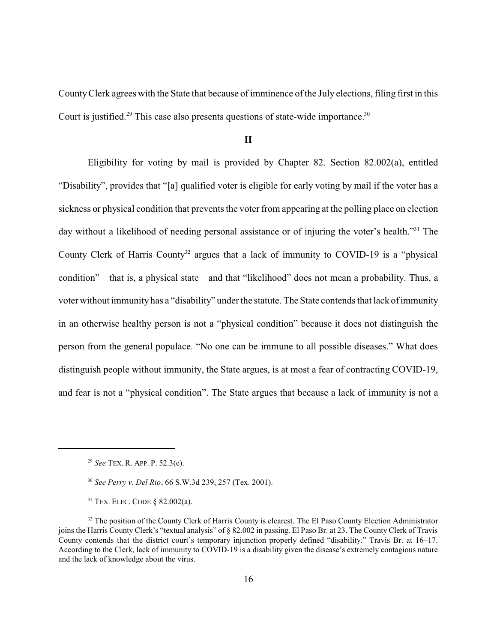County Clerk agrees with the State that because of imminence of the July elections, filing first in this Court is justified.<sup>29</sup> This case also presents questions of state-wide importance.<sup>30</sup>

## **II**

Eligibility for voting by mail is provided by Chapter 82. Section 82.002(a), entitled "Disability", provides that "[a] qualified voter is eligible for early voting by mail if the voter has a sickness or physical condition that prevents the voter from appearing at the polling place on election day without a likelihood of needing personal assistance or of injuring the voter's health."<sup>31</sup> The County Clerk of Harris County<sup>32</sup> argues that a lack of immunity to COVID-19 is a "physical" condition" that is, a physical state and that "likelihood" does not mean a probability. Thus, a voter without immunity has a "disability" under the statute. The State contends that lack of immunity in an otherwise healthy person is not a "physical condition" because it does not distinguish the person from the general populace. "No one can be immune to all possible diseases." What does distinguish people without immunity, the State argues, is at most a fear of contracting COVID-19, and fear is not a "physical condition". The State argues that because a lack of immunity is not a

<sup>29</sup> *See* TEX. R. APP. P. 52.3(e).

<sup>30</sup> *See Perry v. Del Rio*, 66 S.W.3d 239, 257 (Tex. 2001).

 $31$  TEX. ELEC. CODE  $\&$  82.002(a).

<sup>&</sup>lt;sup>32</sup> The position of the County Clerk of Harris County is clearest. The El Paso County Election Administrator joins the Harris County Clerk's "textual analysis" of § 82.002 in passing. El Paso Br. at 23. The County Clerk of Travis County contends that the district court's temporary injunction properly defined "disability." Travis Br. at 16–17. According to the Clerk, lack of immunity to COVID-19 is a disability given the disease's extremely contagious nature and the lack of knowledge about the virus.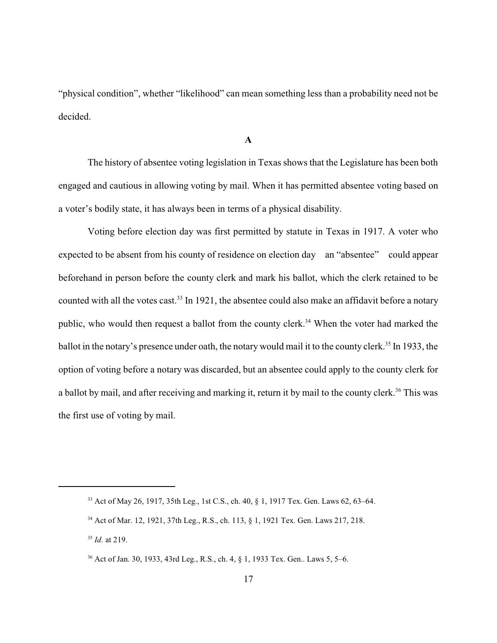"physical condition", whether "likelihood" can mean something less than a probability need not be decided.

#### **A**

The history of absentee voting legislation in Texas shows that the Legislature has been both engaged and cautious in allowing voting by mail. When it has permitted absentee voting based on a voter's bodily state, it has always been in terms of a physical disability.

Voting before election day was first permitted by statute in Texas in 1917. A voter who expected to be absent from his county of residence on election day an "absentee" could appear beforehand in person before the county clerk and mark his ballot, which the clerk retained to be counted with all the votes cast.<sup>33</sup> In 1921, the absentee could also make an affidavit before a notary public, who would then request a ballot from the county clerk.<sup>34</sup> When the voter had marked the ballot in the notary's presence under oath, the notary would mail it to the county clerk.<sup>35</sup> In 1933, the option of voting before a notary was discarded, but an absentee could apply to the county clerk for a ballot by mail, and after receiving and marking it, return it by mail to the county clerk.<sup>36</sup> This was the first use of voting by mail.

<sup>33</sup> Act of May 26, 1917, 35th Leg., 1st C.S., ch. 40, § 1, 1917 Tex. Gen. Laws 62, 63–64.

<sup>34</sup> Act of Mar. 12, 1921, 37th Leg., R.S., ch. 113, § 1, 1921 Tex. Gen. Laws 217, 218.

<sup>35</sup> *Id.* at 219.

<sup>36</sup> Act of Jan. 30, 1933, 43rd Leg., R.S., ch. 4, § 1, 1933 Tex. Gen.. Laws 5, 5–6.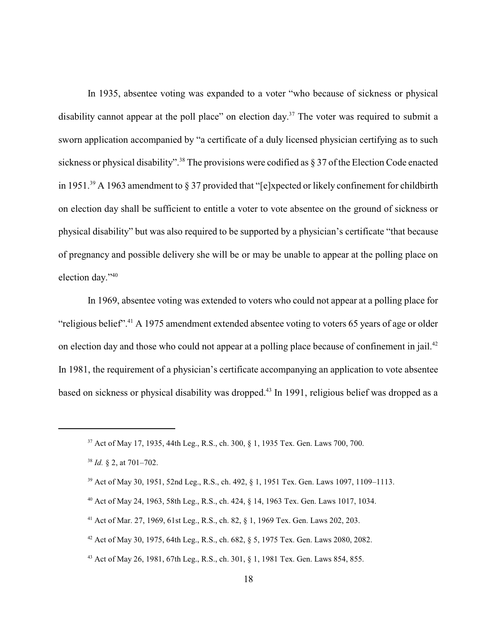In 1935, absentee voting was expanded to a voter "who because of sickness or physical disability cannot appear at the poll place" on election day.<sup>37</sup> The voter was required to submit a sworn application accompanied by "a certificate of a duly licensed physician certifying as to such sickness or physical disability".<sup>38</sup> The provisions were codified as  $\S 37$  of the Election Code enacted in 1951.<sup>39</sup> A 1963 amendment to § 37 provided that "[e]xpected or likely confinement for childbirth on election day shall be sufficient to entitle a voter to vote absentee on the ground of sickness or physical disability" but was also required to be supported by a physician's certificate "that because of pregnancy and possible delivery she will be or may be unable to appear at the polling place on election day."<sup>40</sup>

In 1969, absentee voting was extended to voters who could not appear at a polling place for "religious belief".<sup>41</sup> A 1975 amendment extended absentee voting to voters 65 years of age or older on election day and those who could not appear at a polling place because of confinement in jail.<sup>42</sup> In 1981, the requirement of a physician's certificate accompanying an application to vote absentee based on sickness or physical disability was dropped.<sup>43</sup> In 1991, religious belief was dropped as a

<sup>37</sup> Act of May 17, 1935, 44th Leg., R.S., ch. 300, § 1, 1935 Tex. Gen. Laws 700, 700.

<sup>38</sup> *Id.* § 2, at 701–702.

<sup>39</sup> Act of May 30, 1951, 52nd Leg., R.S., ch. 492, § 1, 1951 Tex. Gen. Laws 1097, 1109–1113.

<sup>40</sup> Act of May 24, 1963, 58th Leg., R.S., ch. 424, § 14, 1963 Tex. Gen. Laws 1017, 1034.

<sup>41</sup> Act of Mar. 27, 1969, 61st Leg., R.S., ch. 82, § 1, 1969 Tex. Gen. Laws 202, 203.

<sup>42</sup> Act of May 30, 1975, 64th Leg., R.S., ch. 682, § 5, 1975 Tex. Gen. Laws 2080, 2082.

<sup>43</sup> Act of May 26, 1981, 67th Leg., R.S., ch. 301, § 1, 1981 Tex. Gen. Laws 854, 855.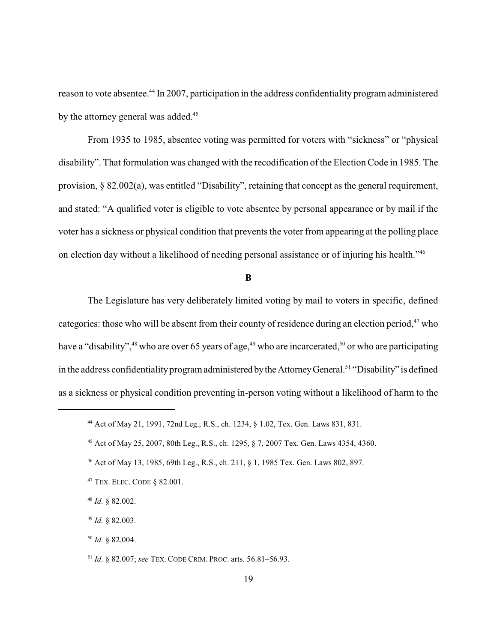reason to vote absentee.<sup>44</sup> In 2007, participation in the address confidentiality program administered by the attorney general was added.<sup>45</sup>

From 1935 to 1985, absentee voting was permitted for voters with "sickness" or "physical disability". That formulation was changed with the recodification of the Election Code in 1985. The provision, § 82.002(a), was entitled "Disability", retaining that concept as the general requirement, and stated: "A qualified voter is eligible to vote absentee by personal appearance or by mail if the voter has a sickness or physical condition that prevents the voter from appearing at the polling place on election day without a likelihood of needing personal assistance or of injuring his health."<sup>46</sup>

**B**

The Legislature has very deliberately limited voting by mail to voters in specific, defined categories: those who will be absent from their county of residence during an election period,<sup>47</sup> who have a "disability", $^{48}$  who are over 65 years of age, $^{49}$  who are incarcerated, $^{50}$  or who are participating in the address confidentiality program administered by the Attorney General.<sup>51</sup> "Disability" is defined as a sickness or physical condition preventing in-person voting without a likelihood of harm to the

<sup>44</sup> Act of May 21, 1991, 72nd Leg., R.S., ch. 1234, § 1.02, Tex. Gen. Laws 831, 831.

<sup>45</sup> Act of May 25, 2007, 80th Leg., R.S., ch. 1295, § 7, 2007 Tex. Gen. Laws 4354, 4360.

<sup>46</sup> Act of May 13, 1985, 69th Leg., R.S., ch. 211, § 1, 1985 Tex. Gen. Laws 802, 897.

<sup>47</sup> TEX. ELEC. CODE § 82.001.

<sup>48</sup> *Id.* § 82.002.

<sup>49</sup> *Id.* § 82.003.

<sup>50</sup> *Id.* § 82.004.

<sup>51</sup> *Id.* § 82.007; *see* TEX. CODE CRIM. PROC. arts. 56.81–56.93.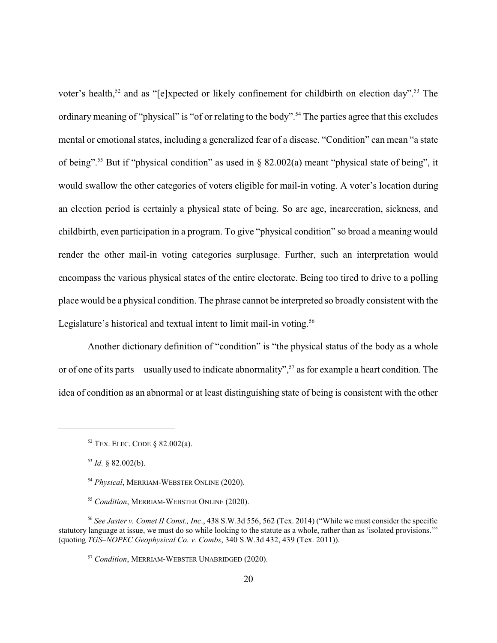voter's health,<sup>52</sup> and as "[e]xpected or likely confinement for childbirth on election day".<sup>53</sup> The ordinary meaning of "physical" is "of or relating to the body".<sup>54</sup> The parties agree that this excludes mental or emotional states, including a generalized fear of a disease. "Condition" can mean "a state of being".<sup>55</sup> But if "physical condition" as used in  $\S$  82.002(a) meant "physical state of being", it would swallow the other categories of voters eligible for mail-in voting. A voter's location during an election period is certainly a physical state of being. So are age, incarceration, sickness, and childbirth, even participation in a program. To give "physical condition" so broad a meaning would render the other mail-in voting categories surplusage. Further, such an interpretation would encompass the various physical states of the entire electorate. Being too tired to drive to a polling place would be a physical condition. The phrase cannot be interpreted so broadly consistent with the Legislature's historical and textual intent to limit mail-in voting.<sup>56</sup>

Another dictionary definition of "condition" is "the physical status of the body as a whole or of one of its parts usually used to indicate abnormality",<sup>57</sup> as for example a heart condition. The idea of condition as an abnormal or at least distinguishing state of being is consistent with the other

 $52$  TEX. ELEC. CODE § 82.002(a).

<sup>53</sup> *Id.* § 82.002(b).

<sup>54</sup> *Physical*, MERRIAM-WEBSTER ONLINE (2020).

<sup>55</sup> *Condition*, MERRIAM-WEBSTER ONLINE (2020).

<sup>56</sup> *See Jaster v. Comet II Const., Inc*., 438 S.W.3d 556, 562 (Tex. 2014) ("While we must consider the specific statutory language at issue, we must do so while looking to the statute as a whole, rather than as 'isolated provisions.'" (quoting *TGS–NOPEC Geophysical Co. v. Combs*, 340 S.W.3d 432, 439 (Tex. 2011)).

<sup>57</sup> *Condition*, MERRIAM-WEBSTER UNABRIDGED (2020).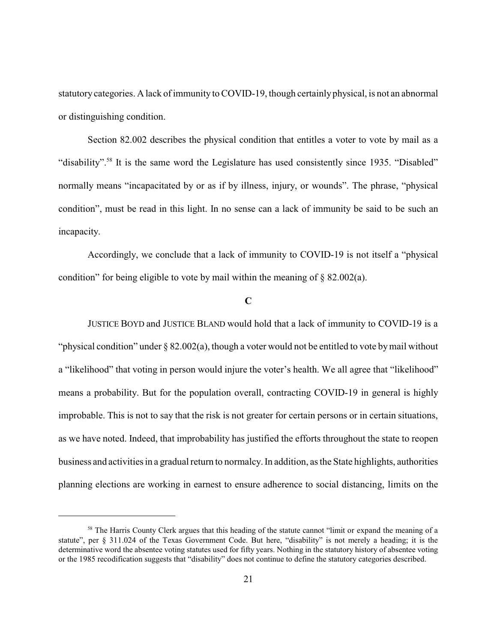statutory categories. A lack of immunity to COVID-19, though certainlyphysical, is not an abnormal or distinguishing condition.

Section 82.002 describes the physical condition that entitles a voter to vote by mail as a "disability".<sup>58</sup> It is the same word the Legislature has used consistently since 1935. "Disabled" normally means "incapacitated by or as if by illness, injury, or wounds". The phrase, "physical condition", must be read in this light. In no sense can a lack of immunity be said to be such an incapacity.

Accordingly, we conclude that a lack of immunity to COVID-19 is not itself a "physical condition" for being eligible to vote by mail within the meaning of § 82.002(a).

## **C**

JUSTICE BOYD and JUSTICE BLAND would hold that a lack of immunity to COVID-19 is a "physical condition" under § 82.002(a), though a voter would not be entitled to vote bymail without a "likelihood" that voting in person would injure the voter's health. We all agree that "likelihood" means a probability. But for the population overall, contracting COVID-19 in general is highly improbable. This is not to say that the risk is not greater for certain persons or in certain situations, as we have noted. Indeed, that improbability has justified the efforts throughout the state to reopen business and activities in a gradual return to normalcy.In addition, as the State highlights, authorities planning elections are working in earnest to ensure adherence to social distancing, limits on the

<sup>&</sup>lt;sup>58</sup> The Harris County Clerk argues that this heading of the statute cannot "limit or expand the meaning of a statute", per § 311.024 of the Texas Government Code. But here, "disability" is not merely a heading; it is the determinative word the absentee voting statutes used for fifty years. Nothing in the statutory history of absentee voting or the 1985 recodification suggests that "disability" does not continue to define the statutory categories described.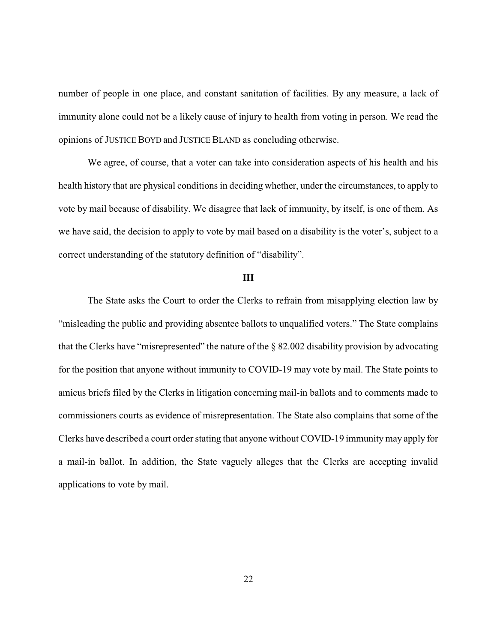number of people in one place, and constant sanitation of facilities. By any measure, a lack of immunity alone could not be a likely cause of injury to health from voting in person. We read the opinions of JUSTICE BOYD and JUSTICE BLAND as concluding otherwise.

We agree, of course, that a voter can take into consideration aspects of his health and his health history that are physical conditions in deciding whether, under the circumstances, to apply to vote by mail because of disability. We disagree that lack of immunity, by itself, is one of them. As we have said, the decision to apply to vote by mail based on a disability is the voter's, subject to a correct understanding of the statutory definition of "disability".

## **III**

The State asks the Court to order the Clerks to refrain from misapplying election law by "misleading the public and providing absentee ballots to unqualified voters." The State complains that the Clerks have "misrepresented" the nature of the § 82.002 disability provision by advocating for the position that anyone without immunity to COVID-19 may vote by mail. The State points to amicus briefs filed by the Clerks in litigation concerning mail-in ballots and to comments made to commissioners courts as evidence of misrepresentation. The State also complains that some of the Clerks have described a court order stating that anyone without COVID-19 immunity may apply for a mail-in ballot. In addition, the State vaguely alleges that the Clerks are accepting invalid applications to vote by mail.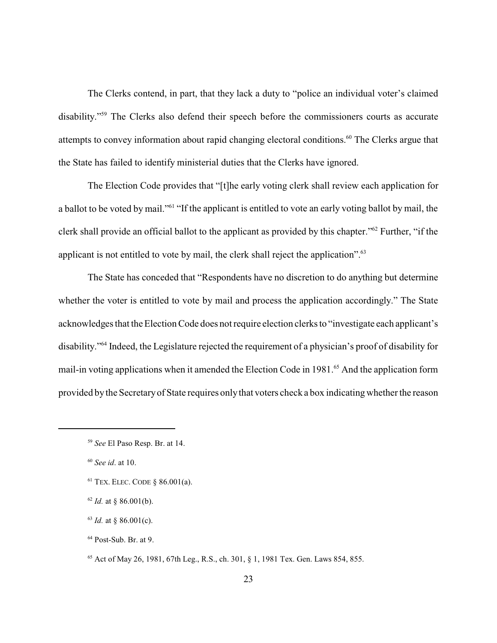The Clerks contend, in part, that they lack a duty to "police an individual voter's claimed disability."<sup>59</sup> The Clerks also defend their speech before the commissioners courts as accurate attempts to convey information about rapid changing electoral conditions.<sup>60</sup> The Clerks argue that the State has failed to identify ministerial duties that the Clerks have ignored.

The Election Code provides that "[t]he early voting clerk shall review each application for a ballot to be voted by mail."<sup>61</sup> "If the applicant is entitled to vote an early voting ballot by mail, the clerk shall provide an official ballot to the applicant as provided by this chapter."<sup>62</sup> Further, "if the applicant is not entitled to vote by mail, the clerk shall reject the application".<sup>63</sup>

The State has conceded that "Respondents have no discretion to do anything but determine whether the voter is entitled to vote by mail and process the application accordingly." The State acknowledges that the Election Code does not require election clerks to "investigate each applicant's disability."<sup>64</sup> Indeed, the Legislature rejected the requirement of a physician's proof of disability for mail-in voting applications when it amended the Election Code in 1981.<sup>65</sup> And the application form provided by the Secretaryof State requires onlythat voters check a box indicating whether the reason

<sup>59</sup> *See* El Paso Resp. Br. at 14.

<sup>60</sup> *See id*. at 10.

 $61$  TEX. ELEC. CODE § 86.001(a).

 $62$  *Id.* at § 86.001(b).

 $^{63}$  *Id.* at § 86.001(c).

<sup>64</sup> Post-Sub. Br. at 9.

<sup>65</sup> Act of May 26, 1981, 67th Leg., R.S., ch. 301, § 1, 1981 Tex. Gen. Laws 854, 855.